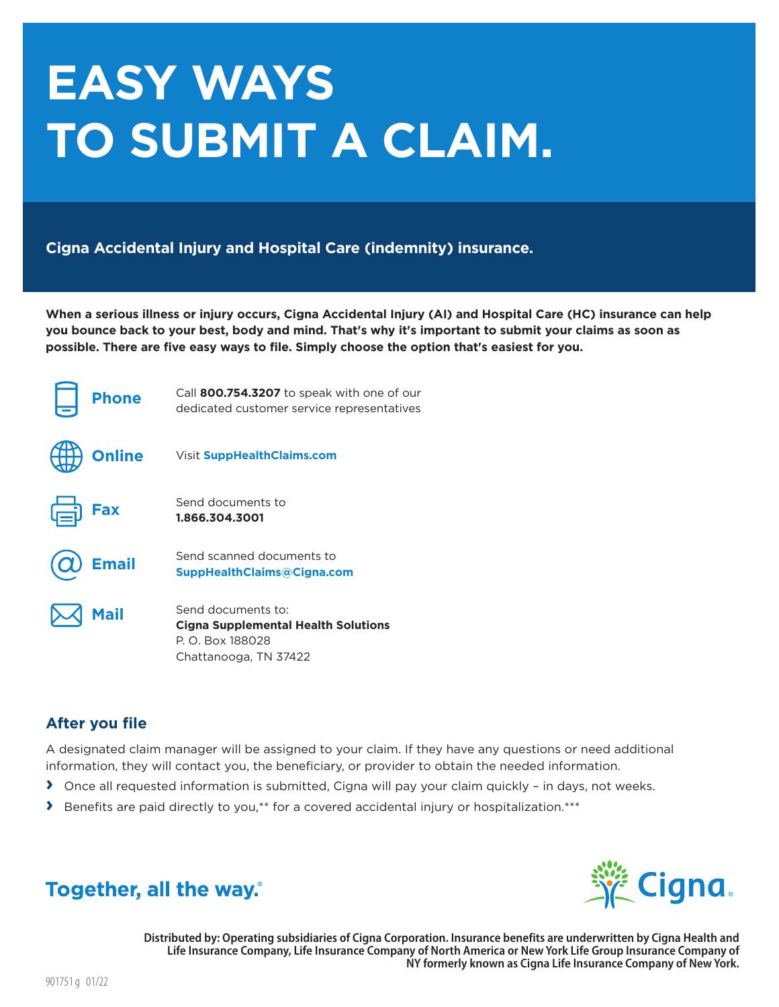# **EASY WAYS** TO SUBMIT A CLAIM.

Cigna Accidental Injury and Hospital Care (indemnity) insurance.

When a serious illness or injury occurs, Cigna Accidental Injury (AI) and Hospital Care (HC) insurance can help you bounce back to your best, body and mind. That's why it's important to submit your claims as soon as possible. There are five easy ways to file. Simply choose the option that's easiest for you.

| <b>Phone</b>  | Call 800.754.3207 to speak with one of our<br>dedicated customer service representatives                      |
|---------------|---------------------------------------------------------------------------------------------------------------|
| <b>Online</b> | <b>Visit SuppHealthClaims.com</b>                                                                             |
| Fax           | Send documents to<br>1.866.304.3001                                                                           |
| <b>Email</b>  | Send scanned documents to<br><b>SuppHealthClaims@Cigna.com</b>                                                |
| <b>Mail</b>   | Send documents to:<br><b>Cigna Supplemental Health Solutions</b><br>P. O. Box 188028<br>Chattanooga, TN 37422 |

### **After you file**

A designated claim manager will be assigned to your claim. If they have any questions or need additional information, they will contact you, the beneficiary, or provider to obtain the needed information.

- > Once all requested information is submitted, Cigna will pay your claim quickly in days, not weeks.
- > Benefits are paid directly to you,\*\* for a covered accidental injury or hospitalization.\*\*\*



## Together, all the way.

Distributed by: Operating subsidiaries of Cigna Corporation. Insurance benefits are underwritten by Cigna Health and Life Insurance Company, Life Insurance Company of North America or New York Life Group Insurance Company of NY formerly known as Cigna Life Insurance Company of New York.